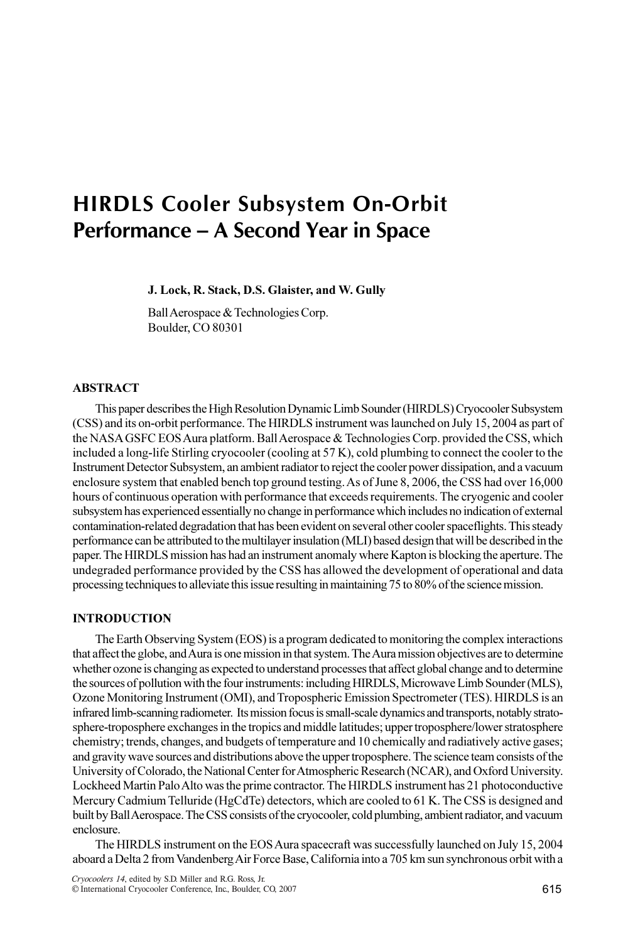# HIRDLS Cooler Subsystem On-Orbit Performance – A Second Year in Space

J. Lock, R. Stack, D.S. Glaister, and W. Gully

Ball Aerospace & Technologies Corp. Boulder, CO 80301

# ABSTRACT

This paper describes the High Resolution Dynamic Limb Sounder (HIRDLS) Cryocooler Subsystem (CSS) and its on-orbit performance. The HIRDLS instrument was launched on July 15, 2004 as part of the NASA GSFC EOS Aura platform. Ball Aerospace & Technologies Corp. provided the CSS, which included a long-life Stirling cryocooler (cooling at 57 K), cold plumbing to connect the cooler to the Instrument Detector Subsystem, an ambient radiator to reject the cooler power dissipation, and a vacuum enclosure system that enabled bench top ground testing. As of June 8, 2006, the CSS had over 16,000 hours of continuous operation with performance that exceeds requirements. The cryogenic and cooler subsystem has experienced essentially no change in performance which includes no indication of external contamination-related degradation that has been evident on several other cooler spaceflights. This steady performance can be attributed to the multilayer insulation (MLI) based design that will be described in the paper. The HIRDLS mission has had an instrument anomaly where Kapton is blocking the aperture. The undegraded performance provided by the CSS has allowed the development of operational and data processing techniques to alleviate this issue resulting in maintaining 75 to 80% of the science mission.

## INTRODUCTION

The Earth Observing System (EOS) is a program dedicated to monitoring the complex interactions that affect the globe, and Aura is one mission in that system. The Aura mission objectives are to determine whether ozone is changing as expected to understand processes that affect global change and to determine the sources of pollution with the four instruments: including HIRDLS, Microwave Limb Sounder (MLS), Ozone Monitoring Instrument (OMI), and Tropospheric Emission Spectrometer (TES). HIRDLS is an infrared limb-scanning radiometer. Its mission focus is small-scale dynamics and transports, notably stratosphere-troposphere exchanges in the tropics and middle latitudes; upper troposphere/lower stratosphere chemistry; trends, changes, and budgets of temperature and 10 chemically and radiatively active gases; and gravity wave sources and distributions above the upper troposphere. The science team consists of the University of Colorado, the National Center for Atmospheric Research (NCAR), and Oxford University. Lockheed Martin Palo Alto was the prime contractor. The HIRDLS instrument has 21 photoconductive Mercury Cadmium Telluride (HgCdTe) detectors, which are cooled to 61 K. The CSS is designed and built by Ball Aerospace. The CSS consists of the cryocooler, cold plumbing, ambient radiator, and vacuum enclosure.

The HIRDLS instrument on the EOS Aura spacecraft was successfully launched on July 15, 2004 aboard a Delta 2 from Vandenberg Air Force Base, California into a 705 km sun synchronous orbit with a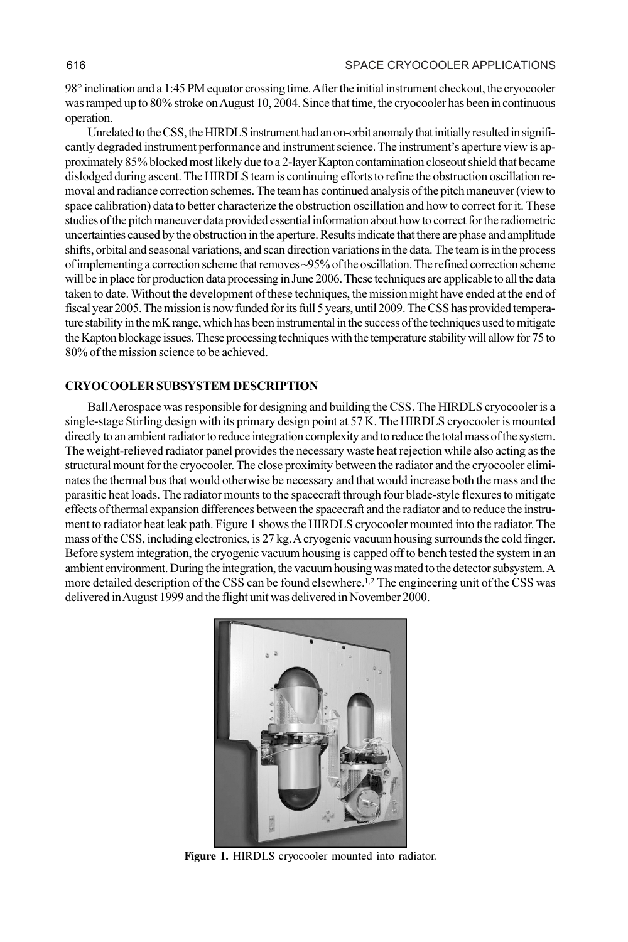98° inclination and a 1:45 PM equator crossing time. After the initial instrument checkout, the cryocooler was ramped up to 80% stroke on August 10, 2004. Since that time, the cryocooler has been in continuous operation.

Unrelated to the CSS, the HIRDLS instrument had an on-orbit anomaly that initially resulted in significantly degraded instrument performance and instrument science. The instrument's aperture view is approximately 85% blocked most likely due to a 2-layer Kapton contamination closeout shield that became dislodged during ascent. The HIRDLS team is continuing efforts to refine the obstruction oscillation removal and radiance correction schemes. The team has continued analysis of the pitch maneuver (view to space calibration) data to better characterize the obstruction oscillation and how to correct for it. These studies of the pitch maneuver data provided essential information about how to correct for the radiometric uncertainties caused by the obstruction in the aperture. Results indicate that there are phase and amplitude shifts, orbital and seasonal variations, and scan direction variations in the data. The team is in the process of implementing a correction scheme that removes ~95% of the oscillation. The refined correction scheme will be in place for production data processing in June 2006. These techniques are applicable to all the data taken to date. Without the development of these techniques, the mission might have ended at the end of fiscal year 2005. The mission is now funded for its full 5 years, until 2009. The CSS has provided temperature stability in the mK range, which has been instrumental in the success of the techniques used to mitigate the Kapton blockage issues. These processing techniques with the temperature stability will allow for 75 to 80% of the mission science to be achieved.

## CRYOCOOLER SUBSYSTEM DESCRIPTION

Ball Aerospace was responsible for designing and building the CSS. The HIRDLS cryocooler is a single-stage Stirling design with its primary design point at 57 K. The HIRDLS cryocooler is mounted directly to an ambient radiator to reduce integration complexity and to reduce the total mass of the system. The weight-relieved radiator panel provides the necessary waste heat rejection while also acting as the structural mount for the cryocooler. The close proximity between the radiator and the cryocooler eliminates the thermal bus that would otherwise be necessary and that would increase both the mass and the parasitic heat loads. The radiator mounts to the spacecraft through four blade-style flexures to mitigate effects of thermal expansion differences between the spacecraft and the radiator and to reduce the instrument to radiator heat leak path. Figure 1 shows the HIRDLS cryocooler mounted into the radiator. The mass of the CSS, including electronics, is 27 kg. A cryogenic vacuum housing surrounds the cold finger. Before system integration, the cryogenic vacuum housing is capped off to bench tested the system in an ambient environment. During the integration, the vacuum housing was mated to the detector subsystem. A more detailed description of the CSS can be found elsewhere.1,2 The engineering unit of the CSS was delivered in August 1999 and the flight unit was delivered in November 2000.



Figure 1. HIRDLS cryocooler mounted into radiator.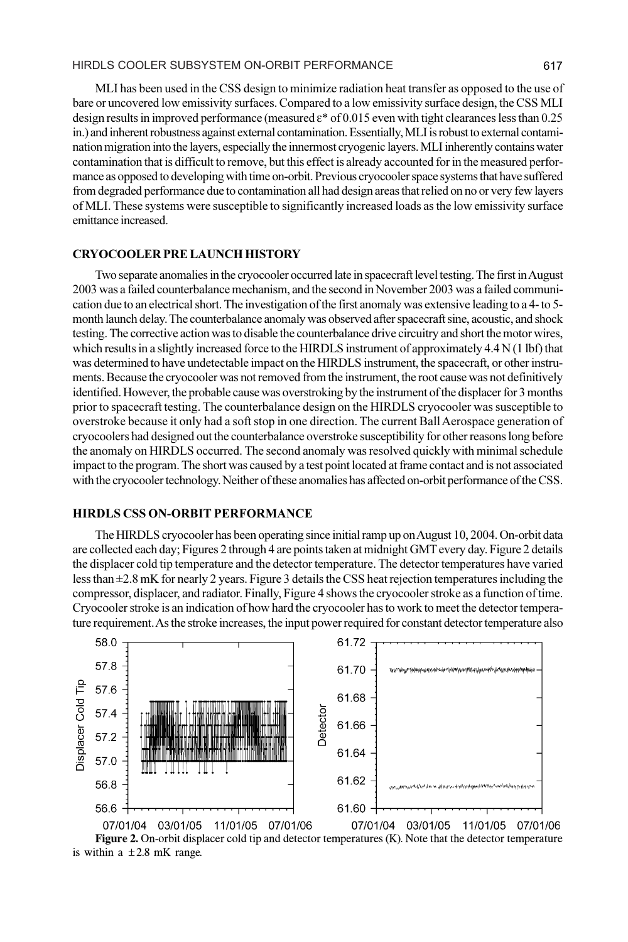MLI has been used in the CSS design to minimize radiation heat transfer as opposed to the use of bare or uncovered low emissivity surfaces. Compared to a low emissivity surface design, the CSS MLI design results in improved performance (measured  $\varepsilon$ \* of 0.015 even with tight clearances less than 0.25 in.) and inherent robustness against external contamination. Essentially, MLI is robust to external contamination migration into the layers, especially the innermost cryogenic layers. MLI inherently contains water contamination that is difficult to remove, but this effect is already accounted for in the measured performance as opposed to developing with time on-orbit. Previous cryocooler space systems that have suffered from degraded performance due to contamination all had design areas that relied on no or very few layers of MLI. These systems were susceptible to significantly increased loads as the low emissivity surface emittance increased.

#### CRYOCOOLER PRE LAUNCH HISTORY

Two separate anomalies in the cryocooler occurred late in spacecraft level testing. The first in August 2003 was a failed counterbalance mechanism, and the second in November 2003 was a failed communication due to an electrical short. The investigation of the first anomaly was extensive leading to a 4- to 5 month launch delay. The counterbalance anomaly was observed after spacecraft sine, acoustic, and shock testing. The corrective action was to disable the counterbalance drive circuitry and short the motor wires, which results in a slightly increased force to the HIRDLS instrument of approximately 4.4 N (1 lbf) that was determined to have undetectable impact on the HIRDLS instrument, the spacecraft, or other instruments. Because the cryocooler was not removed from the instrument, the root cause was not definitively identified. However, the probable cause was overstroking by the instrument of the displacer for 3 months prior to spacecraft testing. The counterbalance design on the HIRDLS cryocooler was susceptible to overstroke because it only had a soft stop in one direction. The current Ball Aerospace generation of cryocoolers had designed out the counterbalance overstroke susceptibility for other reasons long before the anomaly on HIRDLS occurred. The second anomaly was resolved quickly with minimal schedule impact to the program. The short was caused by a test point located at frame contact and is not associated with the cryocooler technology. Neither of these anomalies has affected on-orbit performance of the CSS.

## HIRDLS CSS ON-ORBIT PERFORMANCE

The HIRDLS cryocooler has been operating since initial ramp up on August 10, 2004. On-orbit data are collected each day; Figures 2 through 4 are points taken at midnight GMT every day. Figure 2 details the displacer cold tip temperature and the detector temperature. The detector temperatures have varied less than ±2.8 mK for nearly 2 years. Figure 3 details the CSS heat rejection temperatures including the compressor, displacer, and radiator. Finally, Figure 4 shows the cryocooler stroke as a function of time. Cryocooler stroke is an indication of how hard the cryocooler has to work to meet the detector temperature requirement. As the stroke increases, the input power required for constant detector temperature also



07/01/04 03/01/05 11/01/05 07/01/06 07/01/04 03/01/05 11/01/05 07/01/06 Figure 2. On-orbit displacer cold tip and detector temperatures (K). Note that the detector temperature is within a  $\pm 2.8$  mK range.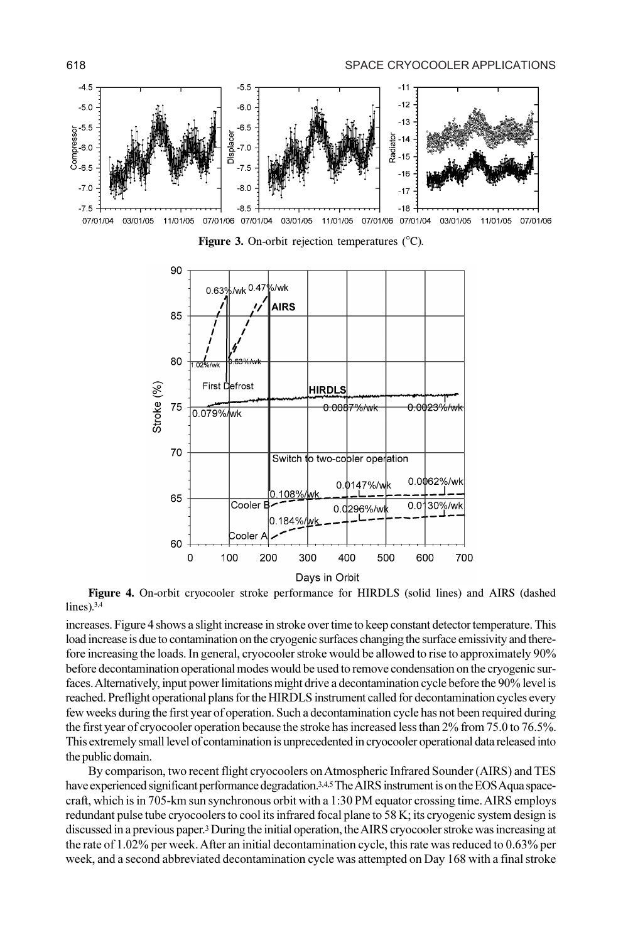



Figure 3. On-orbit rejection temperatures (°C).

Figure 4. On-orbit cryocooler stroke performance for HIRDLS (solid lines) and AIRS (dashed  $lines).$ <sup>3,4</sup>

increases. Figure 4 shows a slight increase in stroke over time to keep constant detector temperature. This load increase is due to contamination on the cryogenic surfaces changing the surface emissivity and therefore increasing the loads. In general, cryocooler stroke would be allowed to rise to approximately 90% before decontamination operational modes would be used to remove condensation on the cryogenic surfaces. Alternatively, input power limitations might drive a decontamination cycle before the 90% level is reached. Preflight operational plans for the HIRDLS instrument called for decontamination cycles every few weeks during the first year of operation. Such a decontamination cycle has not been required during the first year of cryocooler operation because the stroke has increased less than 2% from 75.0 to 76.5%. This extremely small level of contamination is unprecedented in cryocooler operational data released into the public domain.

By comparison, two recent flight cryocoolers on Atmospheric Infrared Sounder (AIRS) and TES have experienced significant performance degradation.<sup>3,4,5</sup> The AIRS instrument is on the EOS Aqua spacecraft, which is in 705-km sun synchronous orbit with a 1:30 PM equator crossing time. AIRS employs redundant pulse tube cryocoolers to cool its infrared focal plane to 58 K; its cryogenic system design is discussed in a previous paper.<sup>3</sup> During the initial operation, the AIRS cryocooler stroke was increasing at the rate of 1.02% per week. After an initial decontamination cycle, this rate was reduced to 0.63% per week, and a second abbreviated decontamination cycle was attempted on Day 168 with a final stroke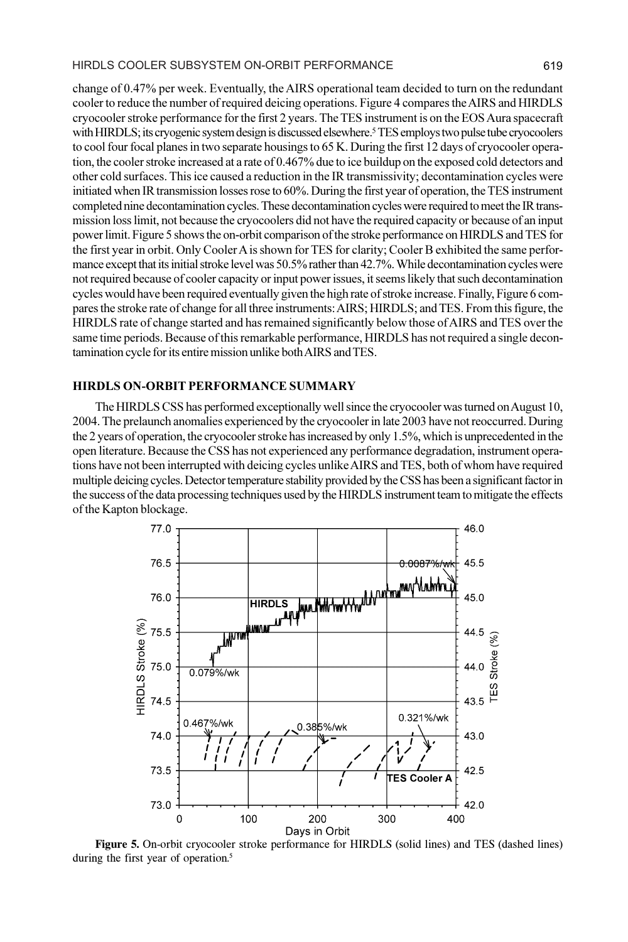#### HIRDLS COOLER SUBSYSTEM ON-ORBIT PERFORMANCE 619

change of 0.47% per week. Eventually, the AIRS operational team decided to turn on the redundant cooler to reduce the number of required deicing operations. Figure 4 compares the AIRS and HIRDLS cryocooler stroke performance for the first 2 years. The TES instrument is on the EOS Aura spacecraft with HIRDLS; its cryogenic system design is discussed elsewhere.<sup>5</sup> TES employs two pulse tube cryocoolers to cool four focal planes in two separate housings to 65 K. During the first 12 days of cryocooler operation, the cooler stroke increased at a rate of 0.467% due to ice buildup on the exposed cold detectors and other cold surfaces. This ice caused a reduction in the IR transmissivity; decontamination cycles were initiated when IR transmission losses rose to 60%. During the first year of operation, the TES instrument completed nine decontamination cycles. These decontamination cycles were required to meet the IR transmission loss limit, not because the cryocoolers did not have the required capacity or because of an input power limit. Figure 5 shows the on-orbit comparison of the stroke performance on HIRDLS and TES for the first year in orbit. Only Cooler A is shown for TES for clarity; Cooler B exhibited the same performance except that its initial stroke level was 50.5% rather than 42.7%. While decontamination cycles were not required because of cooler capacity or input power issues, it seems likely that such decontamination cycles would have been required eventually given the high rate of stroke increase. Finally, Figure 6 compares the stroke rate of change for all three instruments: AIRS; HIRDLS; and TES. From this figure, the HIRDLS rate of change started and has remained significantly below those of AIRS and TES over the same time periods. Because of this remarkable performance, HIRDLS has not required a single decontamination cycle for its entire mission unlike both AIRS and TES.

#### HIRDLS ON-ORBIT PERFORMANCE SUMMARY

The HIRDLS CSS has performed exceptionally well since the cryocooler was turned on August 10, 2004. The prelaunch anomalies experienced by the cryocooler in late 2003 have not reoccurred. During the 2 years of operation, the cryocooler stroke has increased by only 1.5%, which is unprecedented in the open literature. Because the CSS has not experienced any performance degradation, instrument operations have not been interrupted with deicing cycles unlike AIRS and TES, both of whom have required multiple deicing cycles. Detector temperature stability provided by the CSS has been a significant factor in the success of the data processing techniques used by the HIRDLS instrument team to mitigate the effects of the Kapton blockage.



Figure 5. On-orbit cryocooler stroke performance for HIRDLS (solid lines) and TES (dashed lines) during the first year of operation.<sup>5</sup>